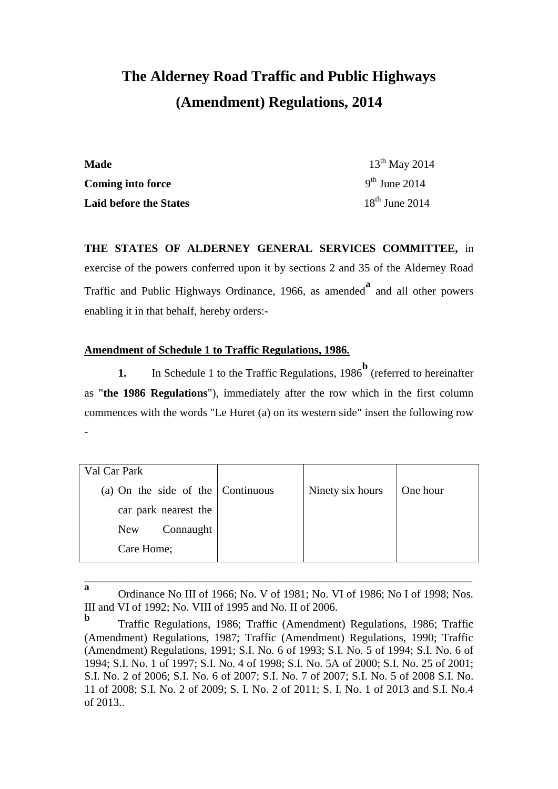# **The Alderney Road Traffic and Public Highways (Amendment) Regulations, 2014**

| <b>Made</b>                   | $13^{th}$ May 2014 |
|-------------------------------|--------------------|
| <b>Coming into force</b>      | $9th$ June 2014    |
| <b>Laid before the States</b> | $18th$ June 2014   |

**THE STATES OF ALDERNEY GENERAL SERVICES COMMITTEE,** in exercise of the powers conferred upon it by sections 2 and 35 of the Alderney Road Traffic and Public Highways Ordinance, 1966, as amended**<sup>a</sup>** and all other powers enabling it in that behalf, hereby orders:-

## **Amendment of Schedule 1 to Traffic Regulations, 1986.**

**1.** In Schedule 1 to the Traffic Regulations, 1986<sup>b</sup> (referred to hereinafter as "**the 1986 Regulations**"), immediately after the row which in the first column commences with the words "Le Huret (a) on its western side" insert the following row -

| Val Car Park                              |                  |          |
|-------------------------------------------|------------------|----------|
| (a) On the side of the $\vert$ Continuous | Ninety six hours | One hour |
| car park nearest the                      |                  |          |
| Connaught<br><b>New</b>                   |                  |          |
| Care Home;                                |                  |          |

**a** Ordinance No III of 1966; No. V of 1981; No. VI of 1986; No I of 1998; Nos. III and VI of 1992; No. VIII of 1995 and No. II of 2006.

\_\_\_\_\_\_\_\_\_\_\_\_\_\_\_\_\_\_\_\_\_\_\_\_\_\_\_\_\_\_\_\_\_\_\_\_\_\_\_\_\_\_\_\_\_\_\_\_\_\_\_\_\_\_\_\_\_\_\_\_\_\_\_\_\_\_\_\_\_

**b** Traffic Regulations, 1986; Traffic (Amendment) Regulations, 1986; Traffic (Amendment) Regulations, 1987; Traffic (Amendment) Regulations, 1990; Traffic (Amendment) Regulations, 1991; S.I. No. 6 of 1993; S.I. No. 5 of 1994; S.I. No. 6 of 1994; S.I. No. 1 of 1997; S.I. No. 4 of 1998; S.I. No. 5A of 2000; S.I. No. 25 of 2001; S.I. No. 2 of 2006; S.I. No. 6 of 2007; S.I. No. 7 of 2007; S.I. No. 5 of 2008 S.I. No. 11 of 2008; S.I. No. 2 of 2009; S. I. No. 2 of 2011; S. I. No. 1 of 2013 and S.I. No.4 of 2013..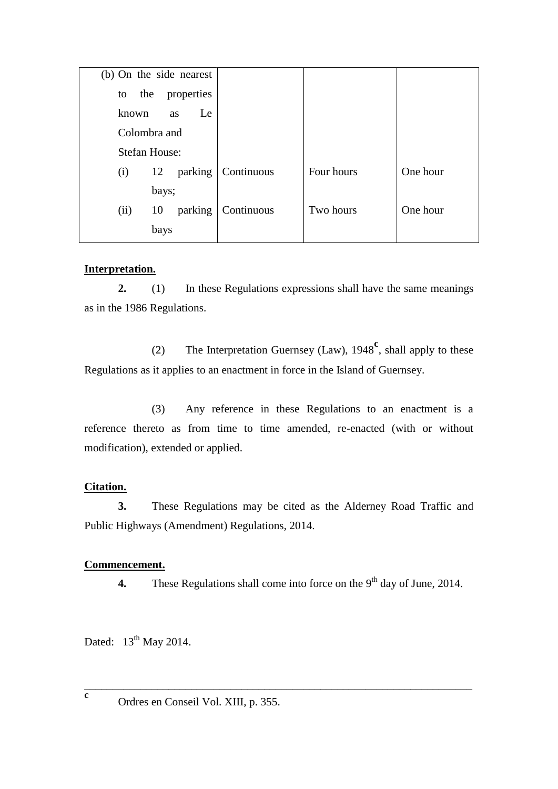| (b) On the side nearest |            |            |          |
|-------------------------|------------|------------|----------|
| properties<br>the<br>to |            |            |          |
| known<br>Le<br>as       |            |            |          |
| Colombra and            |            |            |          |
| <b>Stefan House:</b>    |            |            |          |
| parking<br>12<br>(i)    | Continuous | Four hours | One hour |
| bays;                   |            |            |          |
| parking<br>10<br>(ii)   | Continuous | Two hours  | One hour |
| bays                    |            |            |          |

#### **Interpretation.**

**2.** (1) In these Regulations expressions shall have the same meanings as in the 1986 Regulations.

(2) The Interpretation Guernsey (Law), 1948**<sup>c</sup>** , shall apply to these Regulations as it applies to an enactment in force in the Island of Guernsey.

(3) Any reference in these Regulations to an enactment is a reference thereto as from time to time amended, re-enacted (with or without modification), extended or applied.

## **Citation.**

**3.** These Regulations may be cited as the Alderney Road Traffic and Public Highways (Amendment) Regulations, 2014.

## **Commencement.**

4. These Regulations shall come into force on the 9<sup>th</sup> day of June, 2014.

Dated:  $13<sup>th</sup>$  May 2014.

\_\_\_\_\_\_\_\_\_\_\_\_\_\_\_\_\_\_\_\_\_\_\_\_\_\_\_\_\_\_\_\_\_\_\_\_\_\_\_\_\_\_\_\_\_\_\_\_\_\_\_\_\_\_\_\_\_\_\_\_\_\_\_\_\_\_\_\_\_ **c**

Ordres en Conseil Vol. XIII, p. 355.